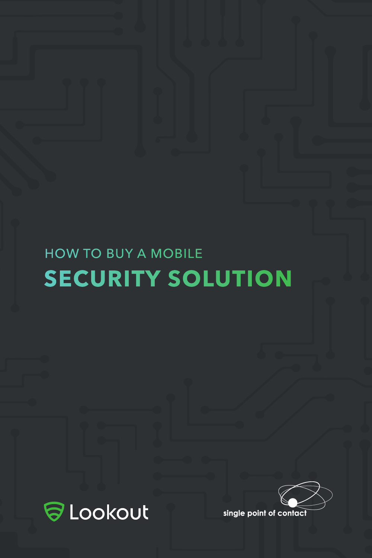## HOW TO BUY A MOBILE **SECURITY SOLUTION**



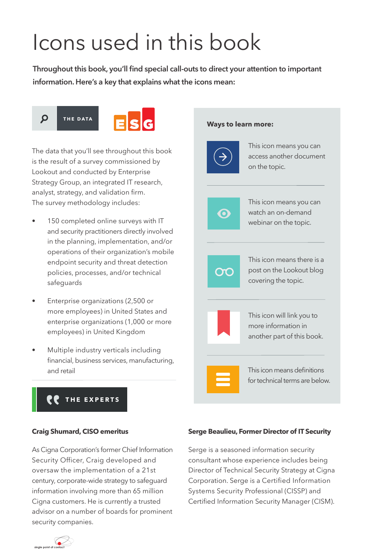# Icons used in this book

**Throughout this book, you'll find special call-outs to direct your attention to important information. Here's a key that explains what the icons mean:**



The data that you'll see throughout this book is the result of a survey commissioned by Lookout and conducted by Enterprise Strategy Group, an integrated IT research, analyst, strategy, and validation firm. The survey methodology includes:

- 150 completed online surveys with IT and security practitioners directly involved in the planning, implementation, and/or operations of their organization's mobile endpoint security and threat detection policies, processes, and/or technical safeguards
- Enterprise organizations (2,500 or more employees) in United States and enterprise organizations (1,000 or more employees) in United Kingdom
- Multiple industry verticals including financial, business services, manufacturing, and retail

#### **Ways to learn more:**



#### **THE EXPERTS**

#### **Craig Shumard, CISO emeritus**

As Cigna Corporation's former Chief Information Security Officer, Craig developed and oversaw the implementation of a 21st century, corporate-wide strategy to safeguard information involving more than 65 million Cigna customers. He is currently a trusted advisor on a number of boards for prominent security companies.

#### **Serge Beaulieu, Former Director of IT Security**

Serge is a seasoned information security consultant whose experience includes being Director of Technical Security Strategy at Cigna Corporation. Serge is a Certified Information Systems Security Professional (CISSP) and Certified Information Security Manager (CISM).

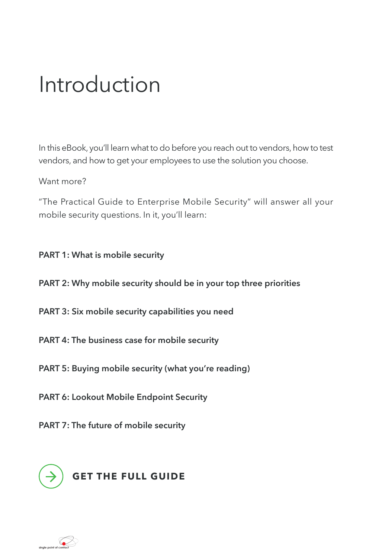## Introduction

In this eBook, you'll learn what to do before you reach out to vendors, how to test vendors, and how to get your employees to use the solution you choose.

Want more?

"The Practical Guide to Enterprise Mobile Security" will answer all your mobile security questions. In it, you'll learn:

#### **PART 1: What is mobile security**

**PART 2: Why mobile security should be in your top three priorities** 

**PART 3: Six mobile security capabilities you need**

**PART 4: The business case for mobile security** 

**PART 5: Buying mobile security (what you're reading)**

**PART 6: Lookout Mobile Endpoint Security**

**PART 7: The future of mobile security** 



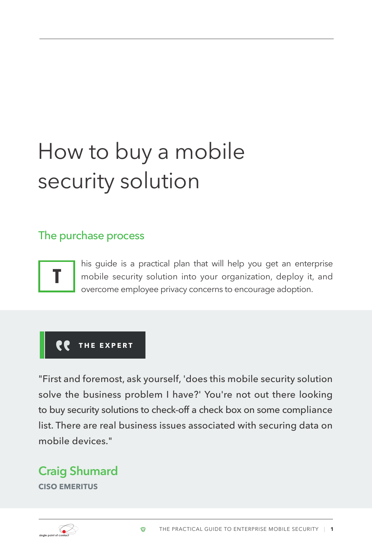# How to buy a mobile security solution

### The purchase process



his guide is a practical plan that will help you get an enterprise mobile security solution into your organization, deploy it, and overcome employee privacy concerns to encourage adoption.

### **THE EXPERT**

"First and foremost, ask yourself, 'does this mobile security solution solve the business problem I have?' You're not out there looking to buy security solutions to check-off a check box on some compliance list. There are real business issues associated with securing data on mobile devices."

## **Craig Shumard**

**CISO EMERITUS**

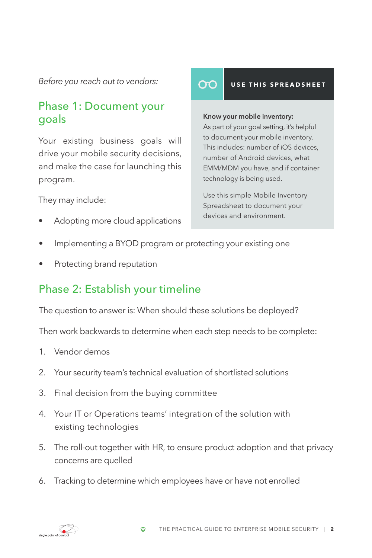*Before you reach out to vendors:*

## Phase 1: Document your goals

Your existing business goals will drive your mobile security decisions, and make the case for launching this program.

They may include:

• Adopting more cloud applications

#### **USE THIS SPREADSHEET**

### **Know your mobile inventory:**

OΟ

As part of your goal setting, it's helpful to document your mobile inventory. This includes: number of iOS devices, number of Android devices, what [EMM/MDM you have, and if container](https://info.lookout.com/rs/051-ESQ-475/images/mobile-device-inventory.pdf
)  technology is being used.

Use this simple Mobile Inventory Spreadsheet to document your devices and environment.

- Implementing a BYOD program or protecting your existing one
- Protecting brand reputation

## Phase 2: Establish your timeline

The question to answer is: When should these solutions be deployed?

Then work backwards to determine when each step needs to be complete:

- 1. Vendor demos
- 2. Your security team's technical evaluation of shortlisted solutions
- 3. Final decision from the buying committee
- 4. Your IT or Operations teams' integration of the solution with existing technologies
- 5. The roll-out together with HR, to ensure product adoption and that privacy concerns are quelled
- 6. Tracking to determine which employees have or have not enrolled

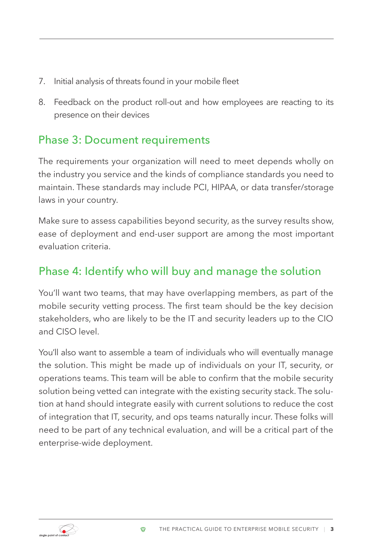- 7. Initial analysis of threats found in your mobile fleet
- 8. Feedback on the product roll-out and how employees are reacting to its presence on their devices

## Phase 3: Document requirements

The requirements your organization will need to meet depends wholly on the industry you service and the kinds of compliance standards you need to maintain. These standards may include PCI, HIPAA, or data transfer/storage laws in your country.

Make sure to assess capabilities beyond security, as the survey results show, ease of deployment and end-user support are among the most important evaluation criteria.

## Phase 4: Identify who will buy and manage the solution

You'll want two teams, that may have overlapping members, as part of the mobile security vetting process. The first team should be the key decision stakeholders, who are likely to be the IT and security leaders up to the CIO and CISO level.

You'll also want to assemble a team of individuals who will eventually manage the solution. This might be made up of individuals on your IT, security, or operations teams. This team will be able to confirm that the mobile security solution being vetted can integrate with the existing security stack. The solution at hand should integrate easily with current solutions to reduce the cost of integration that IT, security, and ops teams naturally incur. These folks will need to be part of any technical evaluation, and will be a critical part of the enterprise-wide deployment.

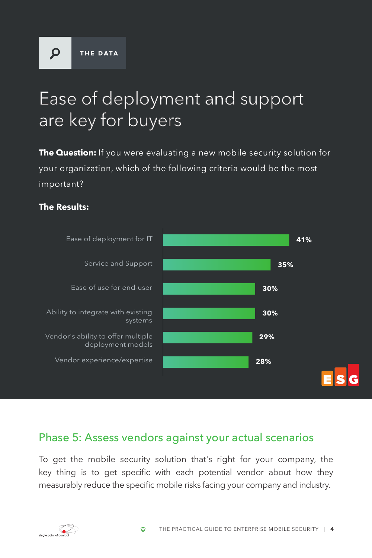$\Omega$ 

## Ease of deployment and support are key for buyers

**The Question:** If you were evaluating a new mobile security solution for your organization, which of the following criteria would be the most important?

#### **The Results:**



### Phase 5: Assess vendors against your actual scenarios

To get the mobile security solution that's right for your company, the key thing is to get specific with each potential vendor about how they measurably reduce the specific mobile risks facing your company and industry.

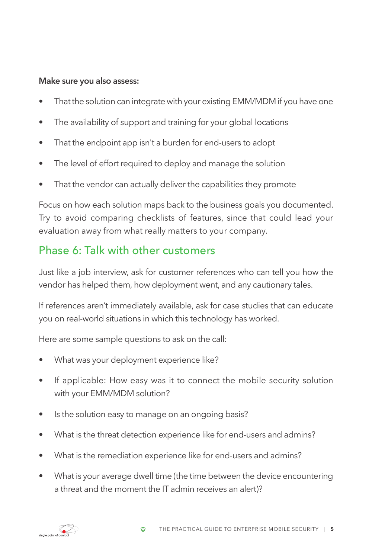#### **Make sure you also assess:**

- That the solution can integrate with your existing EMM/MDM if you have one
- The availability of support and training for your global locations
- That the endpoint app isn't a burden for end-users to adopt
- The level of effort required to deploy and manage the solution
- That the vendor can actually deliver the capabilities they promote

Focus on how each solution maps back to the business goals you documented. Try to avoid comparing checklists of features, since that could lead your evaluation away from what really matters to your company.

## Phase 6: Talk with other customers

Just like a job interview, ask for customer references who can tell you how the vendor has helped them, how deployment went, and any cautionary tales.

If references aren't immediately available, ask for case studies that can educate you on real-world situations in which this technology has worked.

Here are some sample questions to ask on the call:

- What was your deployment experience like?
- If applicable: How easy was it to connect the mobile security solution with your EMM/MDM solution?
- Is the solution easy to manage on an ongoing basis?
- What is the threat detection experience like for end-users and admins?
- What is the remediation experience like for end-users and admins?
- What is your average dwell time (the time between the device encountering a threat and the moment the IT admin receives an alert)?

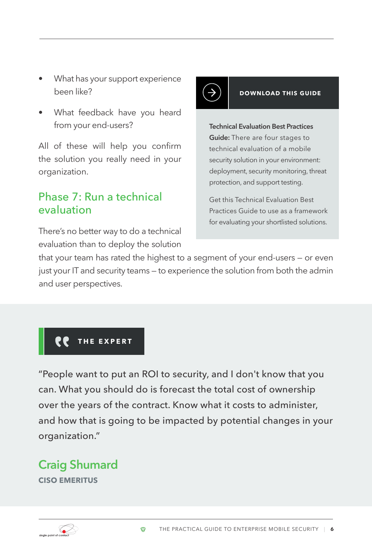- What has your support experience been like?
- What feedback have you heard from your end-users?

All of these will help you confirm the solution you really need in your organization.

### Phase 7: Run a technical evaluation

There's no better way to do a technical evaluation than to deploy the solution

# $\rightarrow$

#### **DOWNLOAD THIS GUIDE**

**Technical Evaluation Best Practices Guide:** There are four stages to technical evaluation of a mobile security solution in your environment: deployment, security monitoring, threat protection, and support testing.

Get this Technical Evaluation Best [Practices Guide to use as a framework](https://info.lookout.com/rs/051-ESQ-475/images/technical-evaluation-best-practices-guide.pdf)  for evaluating your shortlisted solutions.

that your team has rated the highest to a segment of your end-users — or even just your IT and security teams — to experience the solution from both the admin and user perspectives.

## **THE EXPERT**

"People want to put an ROI to security, and I don't know that you can. What you should do is forecast the total cost of ownership over the years of the contract. Know what it costs to administer, and how that is going to be impacted by potential changes in your organization."

## **Craig Shumard**

**CISO EMERITUS**

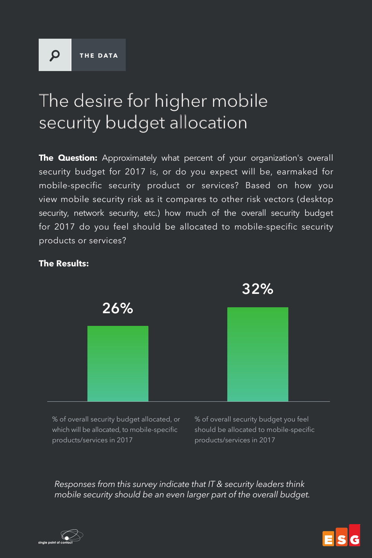$\Omega$ 

## The desire for higher mobile security budget allocation

**The Question:** Approximately what percent of your organization's overall security budget for 2017 is, or do you expect will be, earmaked for mobile-specific security product or services? Based on how you view mobile security risk as it compares to other risk vectors (desktop security, network security, etc.) how much of the overall security budget for 2017 do you feel should be allocated to mobile-specific security products or services?



#### **The Results:**

% of overall security budget allocated, or which will be allocated, to mobile-specific products/services in 2017

% of overall security budget you feel should be allocated to mobile-specific products/services in 2017

*Responses from this survey indicate that IT & security leaders think mobile security should be an even larger part of the overall budget.*



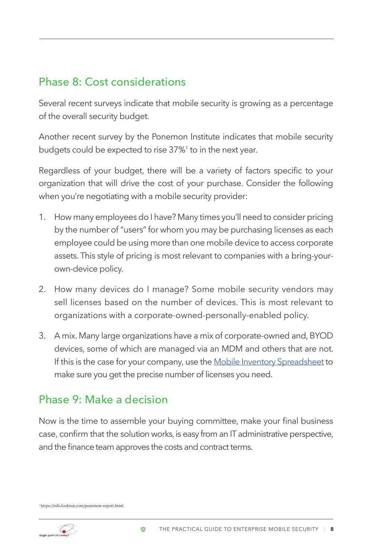## Phase 8: Cost considerations

Several recent surveys indicate that mobile security is growing as a percentage of the overall security budget.

Another recent survey by the Ponemon Institute indicates that mobile security budgets could be expected to rise 37%1 to in the next year.

Regardless of your budget, there will be a variety of factors specific to your organization that will drive the cost of your purchase. Consider the following when you're negotiating with a mobile security provider:

- 1. How many employees do I have? Many times you'll need to consider pricing by the number of "users" for whom you may be purchasing licenses as each employee could be using more than one mobile device to access corporate assets. This style of pricing is most relevant to companies with a bring-yourown-device policy.
- 2. How many devices do I manage? Some mobile security vendors may sell licenses based on the number of devices. This is most relevant to organizations with a corporate-owned-personally-enabled policy.
- 3. A mix. Many large organizations have a mix of corporate-owned and, BYOD devices, some of which are managed via an MDM and others that are not. If this is the case for your company, use the [Mobile Inventory Spreadsheet](https://info.lookout.com/rs/051-ESQ-475/images/mobile-device-inventory.pdf) to make sure you get the precise number of licenses you need.

## Phase 9: Make a decision

Now is the time to assemble your buying committee, make your final business case, confirm that the solution works, is easy from an IT administrative perspective, and the finance team approves the costs and contract terms.

ø

<sup>1</sup> https://info.lookout.com/ponemon-report.html

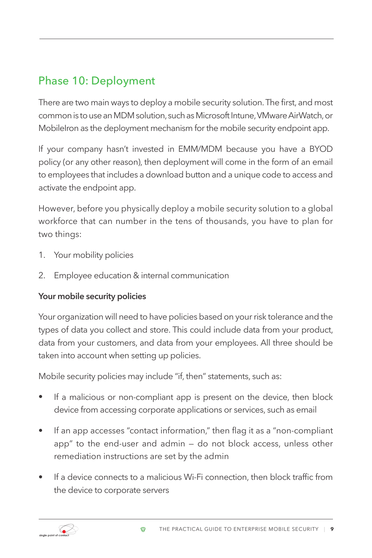## Phase 10: Deployment

There are two main ways to deploy a mobile security solution. The first, and most common is to use an MDM solution, such as Microsoft Intune, VMware AirWatch, or MobileIron as the deployment mechanism for the mobile security endpoint app.

If your company hasn't invested in EMM/MDM because you have a BYOD policy (or any other reason), then deployment will come in the form of an email to employees that includes a download button and a unique code to access and activate the endpoint app.

However, before you physically deploy a mobile security solution to a global workforce that can number in the tens of thousands, you have to plan for two things:

- 1. Your mobility policies
- 2. Employee education & internal communication

#### **Your mobile security policies**

Your organization will need to have policies based on your risk tolerance and the types of data you collect and store. This could include data from your product, data from your customers, and data from your employees. All three should be taken into account when setting up policies.

Mobile security policies may include "if, then" statements, such as:

 $\bullet$ 

- If a malicious or non-compliant app is present on the device, then block device from accessing corporate applications or services, such as email
- If an app accesses "contact information," then flag it as a "non-compliant app" to the end-user and admin — do not block access, unless other remediation instructions are set by the admin
- If a device connects to a malicious Wi-Fi connection, then block traffic from the device to corporate servers

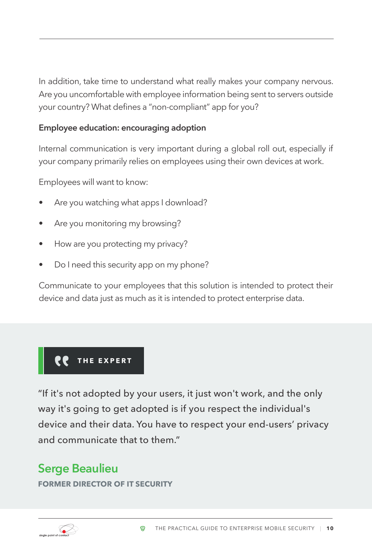In addition, take time to understand what really makes your company nervous. Are you uncomfortable with employee information being sent to servers outside your country? What defines a "non-compliant" app for you?

#### **Employee education: encouraging adoption**

Internal communication is very important during a global roll out, especially if your company primarily relies on employees using their own devices at work.

Employees will want to know:

- Are you watching what apps I download?
- Are you monitoring my browsing?
- How are you protecting my privacy?
- Do I need this security app on my phone?

Communicate to your employees that this solution is intended to protect their device and data just as much as it is intended to protect enterprise data.

## **THE EXPERT**

"If it's not adopted by your users, it just won't work, and the only way it's going to get adopted is if you respect the individual's device and their data. You have to respect your end-users' privacy and communicate that to them."

## **Serge Beaulieu**

**FORMER DIRECTOR OF IT SECURITY**